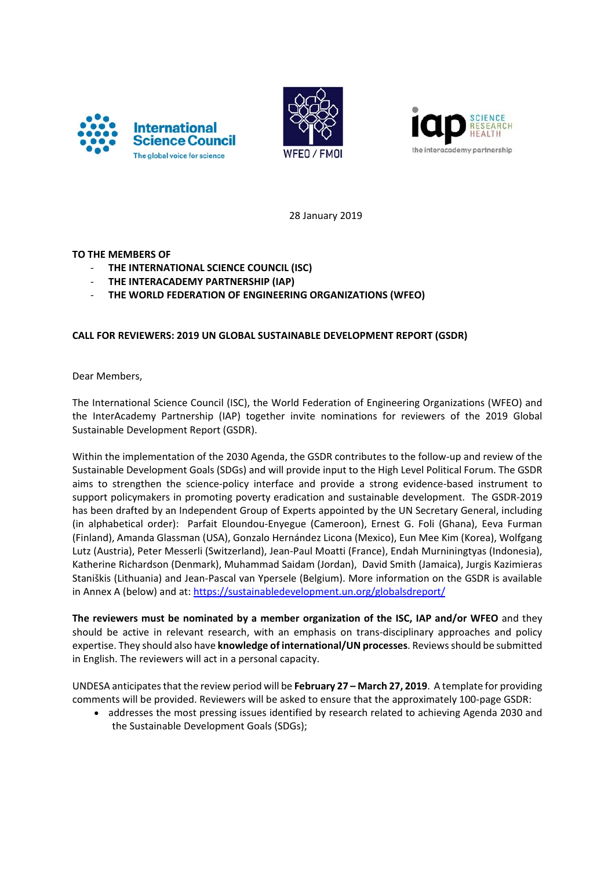





28 January 2019

## **TO THE MEMBERS OF**

- ‐ **THE INTERNATIONAL SCIENCE COUNCIL (ISC)**
- ‐ **THE INTERACADEMY PARTNERSHIP (IAP)**
- ‐ **THE WORLD FEDERATION OF ENGINEERING ORGANIZATIONS (WFEO)**

# **CALL FOR REVIEWERS: 2019 UN GLOBAL SUSTAINABLE DEVELOPMENT REPORT (GSDR)**

Dear Members,

The International Science Council (ISC), the World Federation of Engineering Organizations (WFEO) and the InterAcademy Partnership (IAP) together invite nominations for reviewers of the 2019 Global Sustainable Development Report (GSDR).

Within the implementation of the 2030 Agenda, the GSDR contributes to the follow‐up and review of the Sustainable Development Goals (SDGs) and will provide input to the High Level Political Forum. The GSDR aims to strengthen the science‐policy interface and provide a strong evidence‐based instrument to support policymakers in promoting poverty eradication and sustainable development. The GSDR‐2019 has been drafted by an Independent Group of Experts appointed by the UN Secretary General, including (in alphabetical order): Parfait Eloundou‐Enyegue (Cameroon), Ernest G. Foli (Ghana), Eeva Furman (Finland), Amanda Glassman (USA), Gonzalo Hernández Licona (Mexico), Eun Mee Kim (Korea), Wolfgang Lutz (Austria), Peter Messerli (Switzerland), Jean‐Paul Moatti (France), Endah Murniningtyas (Indonesia), Katherine Richardson (Denmark), Muhammad Saidam (Jordan), David Smith (Jamaica), Jurgis Kazimieras Staniškis (Lithuania) and Jean‐Pascal van Ypersele (Belgium). More information on the GSDR is available in Annex A (below) and at: https://sustainabledevelopment.un.org/globalsdreport/

**The reviewers must be nominated by a member organization of the ISC, IAP and/or WFEO** and they should be active in relevant research, with an emphasis on trans‐disciplinary approaches and policy expertise. They should also have **knowledge of international/UN processes**. Reviewsshould be submitted in English. The reviewers will act in a personal capacity.

UNDESA anticipatesthat the review period will be **February 27 – March 27, 2019**. A template for providing comments will be provided. Reviewers will be asked to ensure that the approximately 100‐page GSDR:

• addresses the most pressing issues identified by research related to achieving Agenda 2030 and the Sustainable Development Goals (SDGs);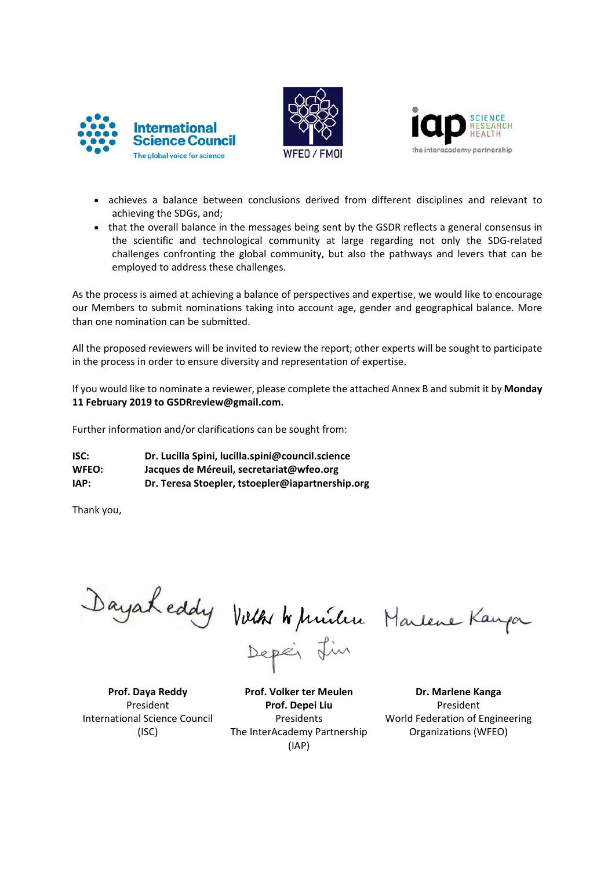





- achieves a balance between conclusions derived from different disciplines and relevant to achieving the SDGs, and;
- that the overall balance in the messages being sent by the GSDR reflects a general consensus in the scientific and technological community at large regarding not only the SDG‐related challenges confronting the global community, but also the pathways and levers that can be employed to address these challenges.

As the process is aimed at achieving a balance of perspectives and expertise, we would like to encourage our Members to submit nominations taking into account age, gender and geographical balance. More than one nomination can be submitted.

All the proposed reviewers will be invited to review the report; other experts will be sought to participate in the process in order to ensure diversity and representation of expertise.

If you would like to nominate a reviewer, please complete the attached Annex B and submit it by **Monday 11 February 2019 to GSDRreview@gmail.com.**

Further information and/or clarifications can be sought from:

**ISC: Dr. Lucilla Spini, lucilla.spini@council.science WFEO: Jacques de Méreuil, secretariat@wfeo.org IAP: Dr. Teresa Stoepler, tstoepler@iapartnership.org**

Thank you,

Dayakeddy Volk Wunitre Marlene Kanga

**Prof. Daya Reddy** President International Science Council (ISC)

**Prof. Volker ter Meulen Prof. Depei Liu** Presidents The InterAcademy Partnership (IAP)

**Dr. Marlene Kanga** President World Federation of Engineering Organizations (WFEO)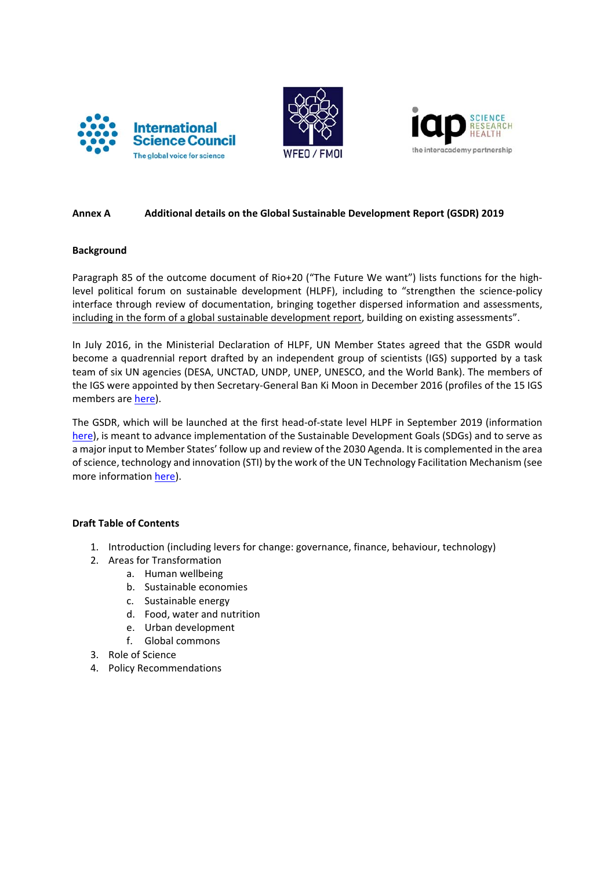





## **Annex A Additional details on the Global Sustainable Development Report (GSDR) 2019**

#### **Background**

Paragraph 85 of the outcome document of Rio+20 ("The Future We want") lists functions for the high‐ level political forum on sustainable development (HLPF), including to "strengthen the science-policy interface through review of documentation, bringing together dispersed information and assessments, including in the form of a global sustainable development report, building on existing assessments".

In July 2016, in the Ministerial Declaration of HLPF, UN Member States agreed that the GSDR would become a quadrennial report drafted by an independent group of scientists (IGS) supported by a task team of six UN agencies (DESA, UNCTAD, UNDP, UNEP, UNESCO, and the World Bank). The members of the IGS were appointed by then Secretary‐General Ban Ki Moon in December 2016 (profiles of the 15 IGS members are here).

The GSDR, which will be launched at the first head‐of‐state level HLPF in September 2019 (information here), is meant to advance implementation of the Sustainable Development Goals (SDGs) and to serve as a major input to Member States' follow up and review of the 2030 Agenda. It is complemented in the area ofscience, technology and innovation (STI) by the work of the UN Technology Facilitation Mechanism (see more information here).

#### **Draft Table of Contents**

- 1. Introduction (including levers for change: governance, finance, behaviour, technology)
- 2. Areas for Transformation
	- a. Human wellbeing
		- b. Sustainable economies
		- c. Sustainable energy
		- d. Food, water and nutrition
		- e. Urban development
		- f. Global commons
- 3. Role of Science
- 4. Policy Recommendations